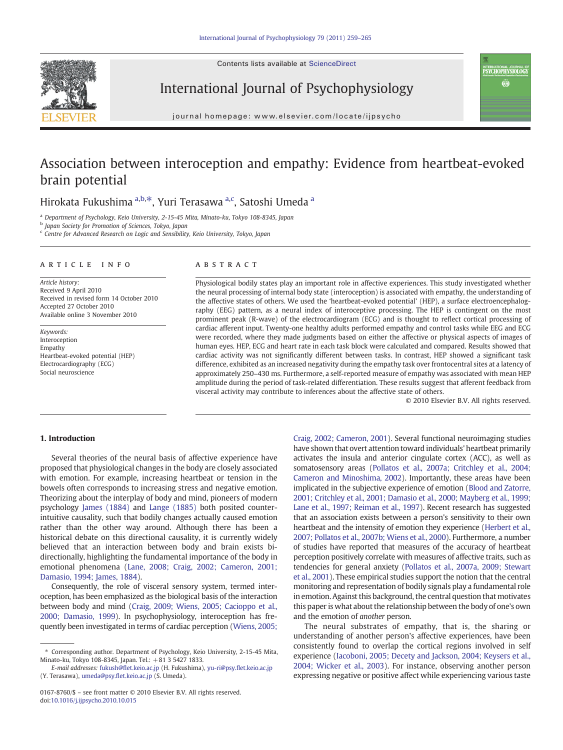Contents lists available at ScienceDirect



International Journal of Psychophysiology

nternational journal of<br>**PSYCHOPHYSIOLOGY** Ö

journal homepage: www.elsevier.com/locate/ijpsycho

# Association between interoception and empathy: Evidence from heartbeat-evoked brain potential

# Hirokata Fukushima <sup>a,b,\*</sup>, Yuri Terasawa <sup>a,c</sup>, Satoshi Umeda <sup>a</sup>

<sup>a</sup> Department of Psychology, Keio University, 2-15-45 Mita, Minato-ku, Tokyo 108-8345, Japan

**b** Japan Society for Promotion of Sciences, Tokyo, Japan

<sup>c</sup> Centre for Advanced Research on Logic and Sensibility, Keio University, Tokyo, Japan

#### article info abstract

Article history: Received 9 April 2010 Received in revised form 14 October 2010 Accepted 27 October 2010 Available online 3 November 2010

Keywords: Interoception Empathy Heartbeat-evoked potential (HEP) Electrocardiography (ECG) Social neuroscience

Physiological bodily states play an important role in affective experiences. This study investigated whether the neural processing of internal body state (interoception) is associated with empathy, the understanding of the affective states of others. We used the 'heartbeat-evoked potential' (HEP), a surface electroencephalography (EEG) pattern, as a neural index of interoceptive processing. The HEP is contingent on the most prominent peak (R-wave) of the electrocardiogram (ECG) and is thought to reflect cortical processing of cardiac afferent input. Twenty-one healthy adults performed empathy and control tasks while EEG and ECG were recorded, where they made judgments based on either the affective or physical aspects of images of human eyes. HEP, ECG and heart rate in each task block were calculated and compared. Results showed that cardiac activity was not significantly different between tasks. In contrast, HEP showed a significant task difference, exhibited as an increased negativity during the empathy task over frontocentral sites at a latency of approximately 250–430 ms. Furthermore, a self-reported measure of empathy was associated with mean HEP amplitude during the period of task-related differentiation. These results suggest that afferent feedback from visceral activity may contribute to inferences about the affective state of others.

© 2010 Elsevier B.V. All rights reserved.

# 1. Introduction

Several theories of the neural basis of affective experience have proposed that physiological changes in the body are closely associated with emotion. For example, increasing heartbeat or tension in the bowels often corresponds to increasing stress and negative emotion. Theorizing about the interplay of body and mind, pioneers of modern psychology [James \(1884\)](#page-6-0) and [Lange \(1885\)](#page-6-0) both posited counterintuitive causality, such that bodily changes actually caused emotion rather than the other way around. Although there has been a historical debate on this directional causality, it is currently widely believed that an interaction between body and brain exists bidirectionally, highlighting the fundamental importance of the body in emotional phenomena ([Lane, 2008; Craig, 2002; Cameron, 2001;](#page-6-0) [Damasio, 1994; James, 1884](#page-6-0)).

Consequently, the role of visceral sensory system, termed interoception, has been emphasized as the biological basis of the interaction between body and mind ([Craig, 2009; Wiens, 2005; Cacioppo et al.,](#page-6-0) [2000; Damasio, 1999\)](#page-6-0). In psychophysiology, interoception has frequently been investigated in terms of cardiac perception ([Wiens, 2005;](#page-6-0)

[Craig, 2002; Cameron, 2001](#page-6-0)). Several functional neuroimaging studies have shown that overt attention toward individuals' heartbeat primarily activates the insula and anterior cingulate cortex (ACC), as well as somatosensory areas [\(Pollatos et al., 2007a; Critchley et al., 2004;](#page-6-0) [Cameron and Minoshima, 2002\)](#page-6-0). Importantly, these areas have been implicated in the subjective experience of emotion [\(Blood and Zatorre,](#page-6-0) [2001; Critchley et al., 2001; Damasio et al., 2000; Mayberg et al., 1999;](#page-6-0) [Lane et al., 1997; Reiman et al., 1997](#page-6-0)). Recent research has suggested that an association exists between a person's sensitivity to their own heartbeat and the intensity of emotion they experience [\(Herbert et al.,](#page-6-0) [2007; Pollatos et al., 2007b; Wiens et al., 2000\)](#page-6-0). Furthermore, a number of studies have reported that measures of the accuracy of heartbeat perception positively correlate with measures of affective traits, such as tendencies for general anxiety ([Pollatos et al., 2007a, 2009; Stewart](#page-6-0) [et al., 2001](#page-6-0)). These empirical studies support the notion that the central monitoring and representation of bodily signals play a fundamental role in emotion. Against this background, the central question that motivates this paper is what about the relationship between the body of one's own and the emotion of another person.

The neural substrates of empathy, that is, the sharing or understanding of another person's affective experiences, have been consistently found to overlap the cortical regions involved in self experience [\(Iacoboni, 2005; Decety and Jackson, 2004; Keysers et al.,](#page-6-0) [2004; Wicker et al., 2003\)](#page-6-0). For instance, observing another person expressing negative or positive affect while experiencing various taste

<sup>⁎</sup> Corresponding author. Department of Psychology, Keio University, 2-15-45 Mita, Minato-ku, Tokyo 108-8345, Japan. Tel.: +81 3 5427 1833.

E-mail addresses: fukush@fl[et.keio.ac.jp](mailto:fukush@flet.keio.ac.jp) (H. Fukushima), yu-ri@psy.fl[et.keio.ac.jp](mailto:yu-ri@psy.flet.keio.ac.jp) (Y. Terasawa), [umeda@psy.](mailto:umeda@psy.flet.keio.ac.jp)flet.keio.ac.jp (S. Umeda).

<sup>0167-8760/\$</sup> – see front matter © 2010 Elsevier B.V. All rights reserved. doi:[10.1016/j.ijpsycho.2010.10.015](http://dx.doi.org/10.1016/j.ijpsycho.2010.10.015)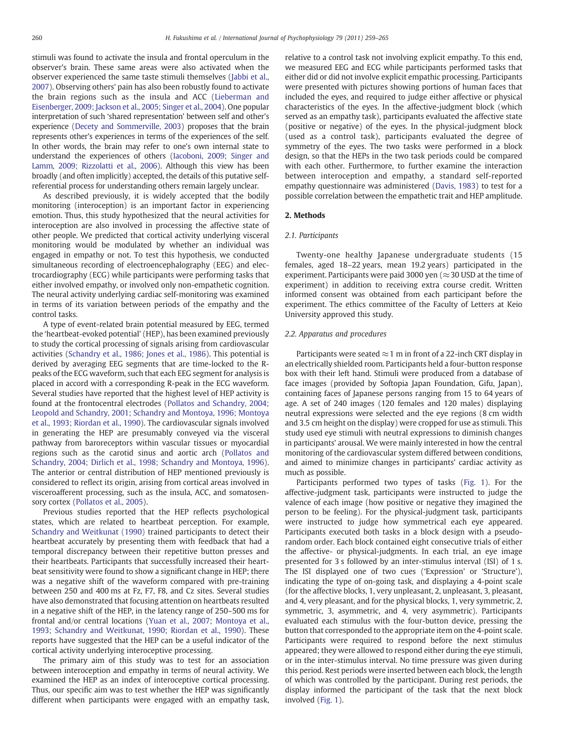stimuli was found to activate the insula and frontal operculum in the observer's brain. These same areas were also activated when the observer experienced the same taste stimuli themselves ([Jabbi et al.,](#page-6-0) [2007\)](#page-6-0). Observing others' pain has also been robustly found to activate the brain regions such as the insula and ACC [\(Lieberman and](#page-6-0) [Eisenberger, 2009; Jackson et al., 2005; Singer et al., 2004](#page-6-0)). One popular interpretation of such 'shared representation' between self and other's experience [\(Decety and Sommerville, 2003\)](#page-6-0) proposes that the brain represents other's experiences in terms of the experiences of the self. In other words, the brain may refer to one's own internal state to understand the experiences of others [\(Iacoboni, 2009; Singer and](#page-6-0) [Lamm, 2009; Rizzolatti et al., 2006](#page-6-0)). Although this view has been broadly (and often implicitly) accepted, the details of this putative selfreferential process for understanding others remain largely unclear.

As described previously, it is widely accepted that the bodily monitoring (interoception) is an important factor in experiencing emotion. Thus, this study hypothesized that the neural activities for interoception are also involved in processing the affective state of other people. We predicted that cortical activity underlying visceral monitoring would be modulated by whether an individual was engaged in empathy or not. To test this hypothesis, we conducted simultaneous recording of electroencephalography (EEG) and electrocardiography (ECG) while participants were performing tasks that either involved empathy, or involved only non-empathetic cognition. The neural activity underlying cardiac self-monitoring was examined in terms of its variation between periods of the empathy and the control tasks.

A type of event-related brain potential measured by EEG, termed the 'heartbeat-evoked potential' (HEP), has been examined previously to study the cortical processing of signals arising from cardiovascular activities [\(Schandry et al., 1986; Jones et al., 1986\)](#page-6-0). This potential is derived by averaging EEG segments that are time-locked to the Rpeaks of the ECG waveform, such that each EEG segment for analysis is placed in accord with a corresponding R-peak in the ECG waveform. Several studies have reported that the highest level of HEP activity is found at the frontocentral electrodes [\(Pollatos and Schandry, 2004;](#page-6-0) [Leopold and Schandry, 2001; Schandry and Montoya, 1996; Montoya](#page-6-0) [et al., 1993; Riordan et al., 1990\)](#page-6-0). The cardiovascular signals involved in generating the HEP are presumably conveyed via the visceral pathway from baroreceptors within vascular tissues or myocardial regions such as the carotid sinus and aortic arch ([Pollatos and](#page-6-0) [Schandry, 2004; Dirlich et al., 1998; Schandry and Montoya, 1996](#page-6-0)). The anterior or central distribution of HEP mentioned previously is considered to reflect its origin, arising from cortical areas involved in visceroafferent processing, such as the insula, ACC, and somatosensory cortex [\(Pollatos et al., 2005](#page-6-0)).

Previous studies reported that the HEP reflects psychological states, which are related to heartbeat perception. For example, [Schandry and Weitkunat \(1990\)](#page-6-0) trained participants to detect their heartbeat accurately by presenting them with feedback that had a temporal discrepancy between their repetitive button presses and their heartbeats. Participants that successfully increased their heartbeat sensitivity were found to show a significant change in HEP; there was a negative shift of the waveform compared with pre-training between 250 and 400 ms at Fz, F7, F8, and Cz sites. Several studies have also demonstrated that focusing attention on heartbeats resulted in a negative shift of the HEP, in the latency range of 250–500 ms for frontal and/or central locations ([Yuan et al., 2007; Montoya et al.,](#page-6-0) [1993; Schandry and Weitkunat, 1990; Riordan et al., 1990](#page-6-0)). These reports have suggested that the HEP can be a useful indicator of the cortical activity underlying interoceptive processing.

The primary aim of this study was to test for an association between interoception and empathy in terms of neural activity. We examined the HEP as an index of interoceptive cortical processing. Thus, our specific aim was to test whether the HEP was significantly different when participants were engaged with an empathy task,

relative to a control task not involving explicit empathy. To this end, we measured EEG and ECG while participants performed tasks that either did or did not involve explicit empathic processing. Participants were presented with pictures showing portions of human faces that included the eyes, and required to judge either affective or physical characteristics of the eyes. In the affective-judgment block (which served as an empathy task), participants evaluated the affective state (positive or negative) of the eyes. In the physical-judgment block (used as a control task), participants evaluated the degree of symmetry of the eyes. The two tasks were performed in a block design, so that the HEPs in the two task periods could be compared with each other. Furthermore, to further examine the interaction between interoception and empathy, a standard self-reported empathy questionnaire was administered ([Davis, 1983](#page-6-0)) to test for a possible correlation between the empathetic trait and HEP amplitude.

## 2. Methods

#### 2.1. Participants

Twenty-one healthy Japanese undergraduate students (15 females, aged 18–22 years, mean 19.2 years) participated in the experiment. Participants were paid 3000 yen ( $\approx$ 30 USD at the time of experiment) in addition to receiving extra course credit. Written informed consent was obtained from each participant before the experiment. The ethics committee of the Faculty of Letters at Keio University approved this study.

### 2.2. Apparatus and procedures

Participants were seated  $\approx$  1 m in front of a 22-inch CRT display in an electrically shielded room. Participants held a four-button response box with their left hand. Stimuli were produced from a database of face images (provided by Softopia Japan Foundation, Gifu, Japan), containing faces of Japanese persons ranging from 15 to 64 years of age. A set of 240 images (120 females and 120 males) displaying neutral expressions were selected and the eye regions (8 cm width and 3.5 cm height on the display) were cropped for use as stimuli. This study used eye stimuli with neutral expressions to diminish changes in participants' arousal. We were mainly interested in how the central monitoring of the cardiovascular system differed between conditions, and aimed to minimize changes in participants' cardiac activity as much as possible.

Participants performed two types of tasks ([Fig. 1](#page-2-0)). For the affective-judgment task, participants were instructed to judge the valence of each image (how positive or negative they imagined the person to be feeling). For the physical-judgment task, participants were instructed to judge how symmetrical each eye appeared. Participants executed both tasks in a block design with a pseudorandom order. Each block contained eight consecutive trials of either the affective- or physical-judgments. In each trial, an eye image presented for 3 s followed by an inter-stimulus interval (ISI) of 1 s. The ISI displayed one of two cues ('Expression' or 'Structure'), indicating the type of on-going task, and displaying a 4-point scale (for the affective blocks, 1, very unpleasant, 2, unpleasant, 3, pleasant, and 4, very pleasant, and for the physical blocks, 1, very symmetric, 2, symmetric, 3, asymmetric, and 4, very asymmetric). Participants evaluated each stimulus with the four-button device, pressing the button that corresponded to the appropriate item on the 4-point scale. Participants were required to respond before the next stimulus appeared; they were allowed to respond either during the eye stimuli, or in the inter-stimulus interval. No time pressure was given during this period. Rest periods were inserted between each block, the length of which was controlled by the participant. During rest periods, the display informed the participant of the task that the next block involved [\(Fig. 1](#page-2-0)).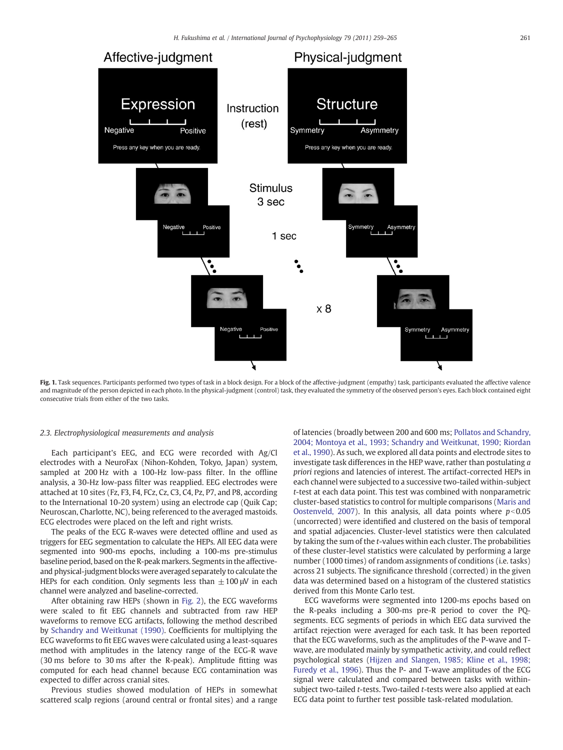<span id="page-2-0"></span>

Fig. 1. Task sequences. Participants performed two types of task in a block design. For a block of the affective-judgment (empathy) task, participants evaluated the affective valence and magnitude of the person depicted in each photo. In the physical-judgment (control) task, they evaluated the symmetry of the observed person's eyes. Each block contained eight consecutive trials from either of the two tasks.

#### 2.3. Electrophysiological measurements and analysis

Each participant's EEG, and ECG were recorded with Ag/Cl electrodes with a NeuroFax (Nihon-Kohden, Tokyo, Japan) system, sampled at 200 Hz with a 100-Hz low-pass filter. In the offline analysis, a 30-Hz low-pass filter was reapplied. EEG electrodes were attached at 10 sites (Fz, F3, F4, FCz, Cz, C3, C4, Pz, P7, and P8, according to the International 10-20 system) using an electrode cap (Quik Cap; Neuroscan, Charlotte, NC), being referenced to the averaged mastoids. ECG electrodes were placed on the left and right wrists.

The peaks of the ECG R-waves were detected offline and used as triggers for EEG segmentation to calculate the HEPs. All EEG data were segmented into 900-ms epochs, including a 100-ms pre-stimulus baseline period, based on the R-peak markers. Segments in the affectiveand physical-judgment blocks were averaged separately to calculate the HEPs for each condition. Only segments less than  $\pm 100 \mu$ V in each channel were analyzed and baseline-corrected.

After obtaining raw HEPs (shown in [Fig. 2](#page-3-0)), the ECG waveforms were scaled to fit EEG channels and subtracted from raw HEP waveforms to remove ECG artifacts, following the method described by [Schandry and Weitkunat \(1990\).](#page-6-0) Coefficients for multiplying the ECG waveforms to fit EEG waves were calculated using a least-squares method with amplitudes in the latency range of the ECG-R wave (30 ms before to 30 ms after the R-peak). Amplitude fitting was computed for each head channel because ECG contamination was expected to differ across cranial sites.

Previous studies showed modulation of HEPs in somewhat scattered scalp regions (around central or frontal sites) and a range of latencies (broadly between 200 and 600 ms; [Pollatos and Schandry,](#page-6-0) [2004; Montoya et al., 1993; Schandry and Weitkunat, 1990; Riordan](#page-6-0) [et al., 1990](#page-6-0)). As such, we explored all data points and electrode sites to investigate task differences in the HEP wave, rather than postulating a priori regions and latencies of interest. The artifact-corrected HEPs in each channel were subjected to a successive two-tailed within-subject t-test at each data point. This test was combined with nonparametric cluster-based statistics to control for multiple comparisons ([Maris and](#page-6-0) [Oostenveld, 2007\)](#page-6-0). In this analysis, all data points where  $p<0.05$ (uncorrected) were identified and clustered on the basis of temporal and spatial adjacencies. Cluster-level statistics were then calculated by taking the sum of the t-values within each cluster. The probabilities of these cluster-level statistics were calculated by performing a large number (1000 times) of random assignments of conditions (i.e. tasks) across 21 subjects. The significance threshold (corrected) in the given data was determined based on a histogram of the clustered statistics derived from this Monte Carlo test.

ECG waveforms were segmented into 1200-ms epochs based on the R-peaks including a 300-ms pre-R period to cover the PQsegments. ECG segments of periods in which EEG data survived the artifact rejection were averaged for each task. It has been reported that the ECG waveforms, such as the amplitudes of the P-wave and Twave, are modulated mainly by sympathetic activity, and could reflect psychological states [\(Hijzen and Slangen, 1985; Kline et al., 1998;](#page-6-0) [Furedy et al., 1996](#page-6-0)). Thus the P- and T-wave amplitudes of the ECG signal were calculated and compared between tasks with withinsubject two-tailed t-tests. Two-tailed t-tests were also applied at each ECG data point to further test possible task-related modulation.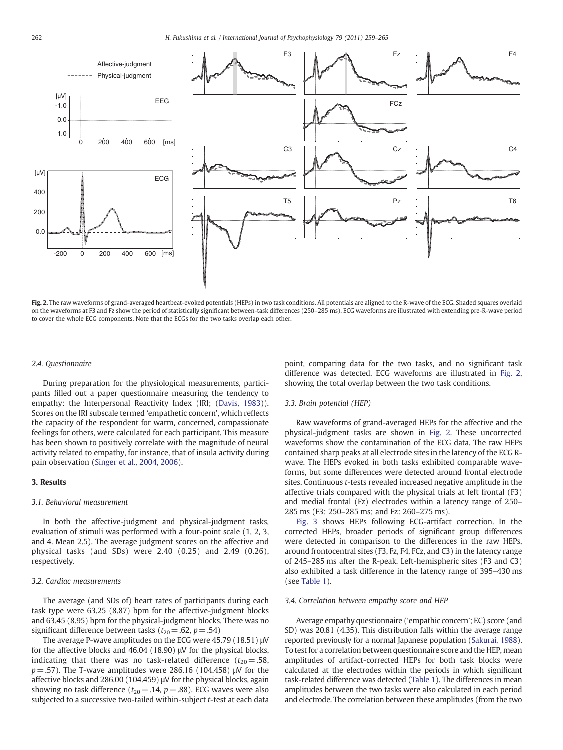<span id="page-3-0"></span>

Fig. 2. The raw waveforms of grand-averaged heartbeat-evoked potentials (HEPs) in two task conditions. All potentials are aligned to the R-wave of the ECG. Shaded squares overlaid on the waveforms at F3 and Fz show the period of statistically significant between-task differences (250–285 ms). ECG waveforms are illustrated with extending pre-R-wave period to cover the whole ECG components. Note that the ECGs for the two tasks overlap each other.

#### 2.4. Questionnaire

During preparation for the physiological measurements, participants filled out a paper questionnaire measuring the tendency to empathy: the Interpersonal Reactivity Index (IRI; ([Davis, 1983\)](#page-6-0)). Scores on the IRI subscale termed 'empathetic concern', which reflects the capacity of the respondent for warm, concerned, compassionate feelings for others, were calculated for each participant. This measure has been shown to positively correlate with the magnitude of neural activity related to empathy, for instance, that of insula activity during pain observation ([Singer et al., 2004, 2006\)](#page-6-0).

# 3. Results

#### 3.1. Behavioral measurement

In both the affective-judgment and physical-judgment tasks, evaluation of stimuli was performed with a four-point scale (1, 2, 3, and 4. Mean 2.5). The average judgment scores on the affective and physical tasks (and SDs) were 2.40 (0.25) and 2.49 (0.26), respectively.

#### 3.2. Cardiac measurements

The average (and SDs of) heart rates of participants during each task type were 63.25 (8.87) bpm for the affective-judgment blocks and 63.45 (8.95) bpm for the physical-judgment blocks. There was no significant difference between tasks ( $t_{20} = .62$ ,  $p = .54$ )

The average P-wave amplitudes on the ECG were 45.79 (18.51) μV for the affective blocks and 46.04 (18.90) μV for the physical blocks, indicating that there was no task-related difference  $(t_{20}=.58,$  $p = 0.57$ ). The T-wave amplitudes were 286.16 (104.458) μV for the affective blocks and 286.00 (104.459) μV for the physical blocks, again showing no task difference ( $t_{20}$  = .14,  $p$  = .88). ECG waves were also subjected to a successive two-tailed within-subject t-test at each data point, comparing data for the two tasks, and no significant task difference was detected. ECG waveforms are illustrated in Fig. 2, showing the total overlap between the two task conditions.

# 3.3. Brain potential (HEP)

Raw waveforms of grand-averaged HEPs for the affective and the physical-judgment tasks are shown in Fig. 2. These uncorrected waveforms show the contamination of the ECG data. The raw HEPs contained sharp peaks at all electrode sites in the latency of the ECG Rwave. The HEPs evoked in both tasks exhibited comparable waveforms, but some differences were detected around frontal electrode sites. Continuous t-tests revealed increased negative amplitude in the affective trials compared with the physical trials at left frontal (F3) and medial frontal (Fz) electrodes within a latency range of 250– 285 ms (F3: 250–285 ms; and Fz: 260–275 ms).

[Fig. 3](#page-4-0) shows HEPs following ECG-artifact correction. In the corrected HEPs, broader periods of significant group differences were detected in comparison to the differences in the raw HEPs, around frontocentral sites (F3, Fz, F4, FCz, and C3) in the latency range of 245–285 ms after the R-peak. Left-hemispheric sites (F3 and C3) also exhibited a task difference in the latency range of 395–430 ms (see [Table 1\)](#page-4-0).

#### 3.4. Correlation between empathy score and HEP

Average empathy questionnaire ('empathic concern'; EC) score (and SD) was 20.81 (4.35). This distribution falls within the average range reported previously for a normal Japanese population [\(Sakurai, 1988\)](#page-6-0). To test for a correlation between questionnaire score and the HEP, mean amplitudes of artifact-corrected HEPs for both task blocks were calculated at the electrodes within the periods in which significant task-related difference was detected ([Table 1](#page-4-0)). The differences in mean amplitudes between the two tasks were also calculated in each period and electrode. The correlation between these amplitudes (from the two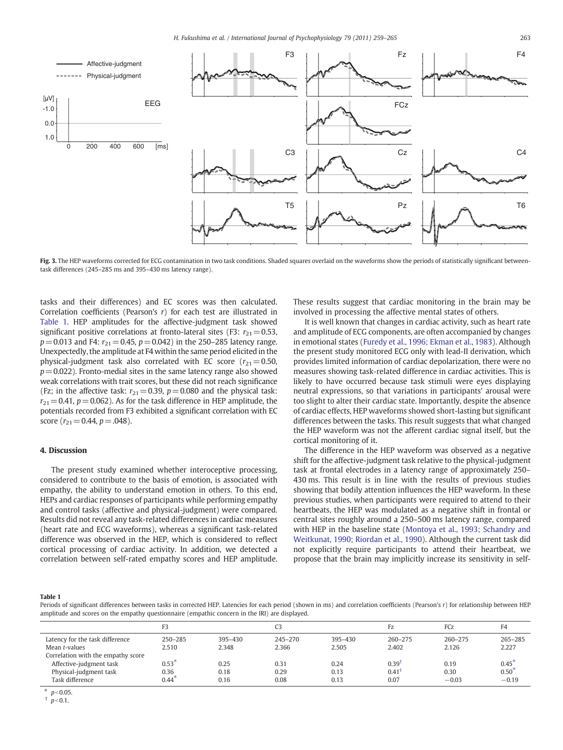<span id="page-4-0"></span>

Fig. 3. The HEP waveforms corrected for ECG contamination in two task conditions. Shaded squares overlaid on the waveforms show the periods of statistically significant betweentask differences (245–285 ms and 395–430 ms latency range).

tasks and their differences) and EC scores was then calculated. Correlation coefficients (Pearson's  $r$ ) for each test are illustrated in Table 1. HEP amplitudes for the affective-judgment task showed significant positive correlations at fronto-lateral sites (F3:  $r_{21}=0.53$ ,  $p=0.013$  and F4:  $r_{21}=0.45$ ,  $p=0.042$ ) in the 250–285 latency range. Unexpectedly, the amplitude at F4 within the same period elicited in the physical-judgment task also correlated with EC score ( $r_{21}=0.50$ ,  $p=0.022$ ). Fronto-medial sites in the same latency range also showed weak correlations with trait scores, but these did not reach significance (Fz; in the affective task:  $r_{21}=0.39$ ,  $p=0.080$  and the physical task:  $r_{21}=0.41$ ,  $p=0.062$ ). As for the task difference in HEP amplitude, the potentials recorded from F3 exhibited a significant correlation with EC score ( $r_{21}=0.44$ ,  $p=.048$ ).

# 4. Discussion

The present study examined whether interoceptive processing, considered to contribute to the basis of emotion, is associated with empathy, the ability to understand emotion in others. To this end, HEPs and cardiac responses of participants while performing empathy and control tasks (affective and physical-judgment) were compared. Results did not reveal any task-related differences in cardiac measures (heart rate and ECG waveforms), whereas a significant task-related difference was observed in the HEP, which is considered to reflect cortical processing of cardiac activity. In addition, we detected a correlation between self-rated empathy scores and HEP amplitude. These results suggest that cardiac monitoring in the brain may be involved in processing the affective mental states of others.

It is well known that changes in cardiac activity, such as heart rate and amplitude of ECG components, are often accompanied by changes in emotional states [\(Furedy et al., 1996; Ekman et al., 1983\)](#page-6-0). Although the present study monitored ECG only with lead-II derivation, which provides limited information of cardiac depolarization, there were no measures showing task-related difference in cardiac activities. This is likely to have occurred because task stimuli were eyes displaying neutral expressions, so that variations in participants' arousal were too slight to alter their cardiac state. Importantly, despite the absence of cardiac effects, HEP waveforms showed short-lasting but significant differences between the tasks. This result suggests that what changed the HEP waveform was not the afferent cardiac signal itself, but the cortical monitoring of it.

The difference in the HEP waveform was observed as a negative shift for the affective-judgment task relative to the physical-judgment task at frontal electrodes in a latency range of approximately 250– 430 ms. This result is in line with the results of previous studies showing that bodily attention influences the HEP waveform. In these previous studies, when participants were required to attend to their heartbeats, the HEP was modulated as a negative shift in frontal or central sites roughly around a 250–500 ms latency range, compared with HEP in the baseline state [\(Montoya et al., 1993; Schandry and](#page-6-0) [Weitkunat, 1990; Riordan et al., 1990\)](#page-6-0). Although the current task did not explicitly require participants to attend their heartbeat, we propose that the brain may implicitly increase its sensitivity in self-

Table 1

Periods of significant differences between tasks in corrected HEP. Latencies for each period (shown in ms) and correlation coefficients (Pearson's r) for relationship between HEP amplitude and scores on the empathy questionnaire (empathic concern in the IRI) are displayed.

|                                    |          |             | C3      |             | Fz.         | FCz         | F <sub>4</sub> |
|------------------------------------|----------|-------------|---------|-------------|-------------|-------------|----------------|
| Latency for the task difference    | 250-285  | $395 - 430$ | 245-270 | $395 - 430$ | $260 - 275$ | $260 - 275$ | 265-285        |
| Mean t-values                      | 2.510    | 2.348       | 2.366   | 2.505       | 2.402       | 2.126       | 2.227          |
| Correlation with the empathy score |          |             |         |             |             |             |                |
| Affective-judgment task            | $0.53*$  | 0.25        | 0.31    | 0.24        | $0.39^{T}$  | 0.19        | $0.45*$        |
| Physical-judgment task             | 0.36     | 0.18        | 0.29    | 0.13        | 0.41        | 0.30        | $0.50*$        |
| Task difference                    | $0.44^*$ | 0.16        | 0.08    | 0.13        | 0.07        | $-0.03$     | $-0.19$        |

 $p < 0.05$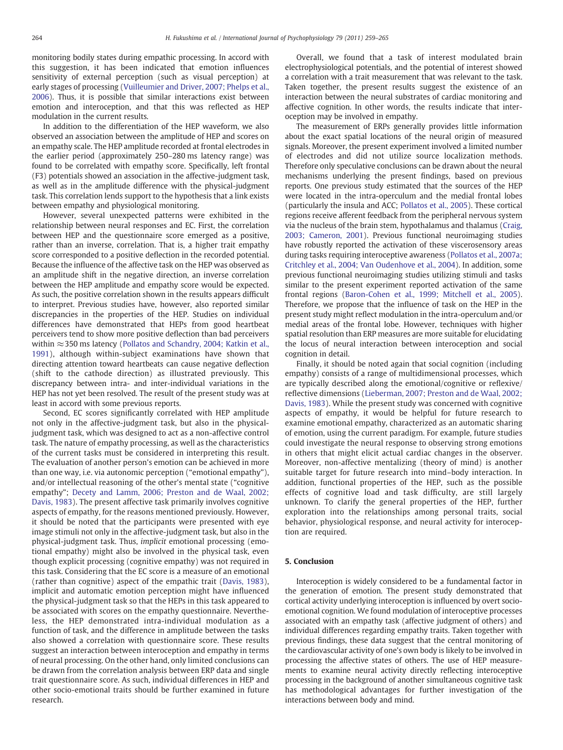monitoring bodily states during empathic processing. In accord with this suggestion, it has been indicated that emotion influences sensitivity of external perception (such as visual perception) at early stages of processing ([Vuilleumier and Driver, 2007; Phelps et al.,](#page-6-0) [2006\)](#page-6-0). Thus, it is possible that similar interactions exist between emotion and interoception, and that this was reflected as HEP modulation in the current results.

In addition to the differentiation of the HEP waveform, we also observed an association between the amplitude of HEP and scores on an empathy scale. The HEP amplitude recorded at frontal electrodes in the earlier period (approximately 250–280 ms latency range) was found to be correlated with empathy score. Specifically, left frontal (F3) potentials showed an association in the affective-judgment task, as well as in the amplitude difference with the physical-judgment task. This correlation lends support to the hypothesis that a link exists between empathy and physiological monitoring.

However, several unexpected patterns were exhibited in the relationship between neural responses and EC. First, the correlation between HEP and the questionnaire score emerged as a positive, rather than an inverse, correlation. That is, a higher trait empathy score corresponded to a positive deflection in the recorded potential. Because the influence of the affective task on the HEP was observed as an amplitude shift in the negative direction, an inverse correlation between the HEP amplitude and empathy score would be expected. As such, the positive correlation shown in the results appears difficult to interpret. Previous studies have, however, also reported similar discrepancies in the properties of the HEP. Studies on individual differences have demonstrated that HEPs from good heartbeat perceivers tend to show more positive deflection than bad perceivers within ≈350 ms latency ([Pollatos and Schandry, 2004; Katkin et al.,](#page-6-0) [1991](#page-6-0)), although within-subject examinations have shown that directing attention toward heartbeats can cause negative deflection (shift to the cathode direction) as illustrated previously. This discrepancy between intra- and inter-individual variations in the HEP has not yet been resolved. The result of the present study was at least in accord with some previous reports.

Second, EC scores significantly correlated with HEP amplitude not only in the affective-judgment task, but also in the physicaljudgment task, which was designed to act as a non-affective control task. The nature of empathy processing, as well as the characteristics of the current tasks must be considered in interpreting this result. The evaluation of another person's emotion can be achieved in more than one way, i.e. via autonomic perception ("emotional empathy"), and/or intellectual reasoning of the other's mental state ("cognitive empathy"; [Decety and Lamm, 2006; Preston and de Waal, 2002;](#page-6-0) [Davis, 1983\)](#page-6-0). The present affective task primarily involves cognitive aspects of empathy, for the reasons mentioned previously. However, it should be noted that the participants were presented with eye image stimuli not only in the affective-judgment task, but also in the physical-judgment task. Thus, implicit emotional processing (emotional empathy) might also be involved in the physical task, even though explicit processing (cognitive empathy) was not required in this task. Considering that the EC score is a measure of an emotional (rather than cognitive) aspect of the empathic trait ([Davis, 1983](#page-6-0)), implicit and automatic emotion perception might have influenced the physical-judgment task so that the HEPs in this task appeared to be associated with scores on the empathy questionnaire. Nevertheless, the HEP demonstrated intra-individual modulation as a function of task, and the difference in amplitude between the tasks also showed a correlation with questionnaire score. These results suggest an interaction between interoception and empathy in terms of neural processing. On the other hand, only limited conclusions can be drawn from the correlation analysis between ERP data and single trait questionnaire score. As such, individual differences in HEP and other socio-emotional traits should be further examined in future research.

Overall, we found that a task of interest modulated brain electrophysiological potentials, and the potential of interest showed a correlation with a trait measurement that was relevant to the task. Taken together, the present results suggest the existence of an interaction between the neural substrates of cardiac monitoring and affective cognition. In other words, the results indicate that interoception may be involved in empathy.

The measurement of ERPs generally provides little information about the exact spatial locations of the neural origin of measured signals. Moreover, the present experiment involved a limited number of electrodes and did not utilize source localization methods. Therefore only speculative conclusions can be drawn about the neural mechanisms underlying the present findings, based on previous reports. One previous study estimated that the sources of the HEP were located in the intra-operculum and the medial frontal lobes (particularly the insula and ACC; [Pollatos et al., 2005\)](#page-6-0). These cortical regions receive afferent feedback from the peripheral nervous system via the nucleus of the brain stem, hypothalamus and thalamus [\(Craig,](#page-6-0) [2003; Cameron, 2001\)](#page-6-0). Previous functional neuroimaging studies have robustly reported the activation of these viscerosensory areas during tasks requiring interoceptive awareness ([Pollatos et al., 2007a;](#page-6-0) [Critchley et al., 2004; Van Oudenhove et al., 2004\)](#page-6-0). In addition, some previous functional neuroimaging studies utilizing stimuli and tasks similar to the present experiment reported activation of the same frontal regions [\(Baron-Cohen et al., 1999; Mitchell et al., 2005](#page-6-0)). Therefore, we propose that the influence of task on the HEP in the present study might reflect modulation in the intra-operculum and/or medial areas of the frontal lobe. However, techniques with higher spatial resolution than ERP measures are more suitable for elucidating the locus of neural interaction between interoception and social cognition in detail.

Finally, it should be noted again that social cognition (including empathy) consists of a range of multidimensional processes, which are typically described along the emotional/cognitive or reflexive/ reflective dimensions [\(Lieberman, 2007; Preston and de Waal, 2002;](#page-6-0) [Davis, 1983](#page-6-0)). While the present study was concerned with cognitive aspects of empathy, it would be helpful for future research to examine emotional empathy, characterized as an automatic sharing of emotion, using the current paradigm. For example, future studies could investigate the neural response to observing strong emotions in others that might elicit actual cardiac changes in the observer. Moreover, non-affective mentalizing (theory of mind) is another suitable target for future research into mind–body interaction. In addition, functional properties of the HEP, such as the possible effects of cognitive load and task difficulty, are still largely unknown. To clarify the general properties of the HEP, further exploration into the relationships among personal traits, social behavior, physiological response, and neural activity for interoception are required.

## 5. Conclusion

Interoception is widely considered to be a fundamental factor in the generation of emotion. The present study demonstrated that cortical activity underlying interoception is influenced by overt socioemotional cognition. We found modulation of interoceptive processes associated with an empathy task (affective judgment of others) and individual differences regarding empathy traits. Taken together with previous findings, these data suggest that the central monitoring of the cardiovascular activity of one's own body is likely to be involved in processing the affective states of others. The use of HEP measurements to examine neural activity directly reflecting interoceptive processing in the background of another simultaneous cognitive task has methodological advantages for further investigation of the interactions between body and mind.